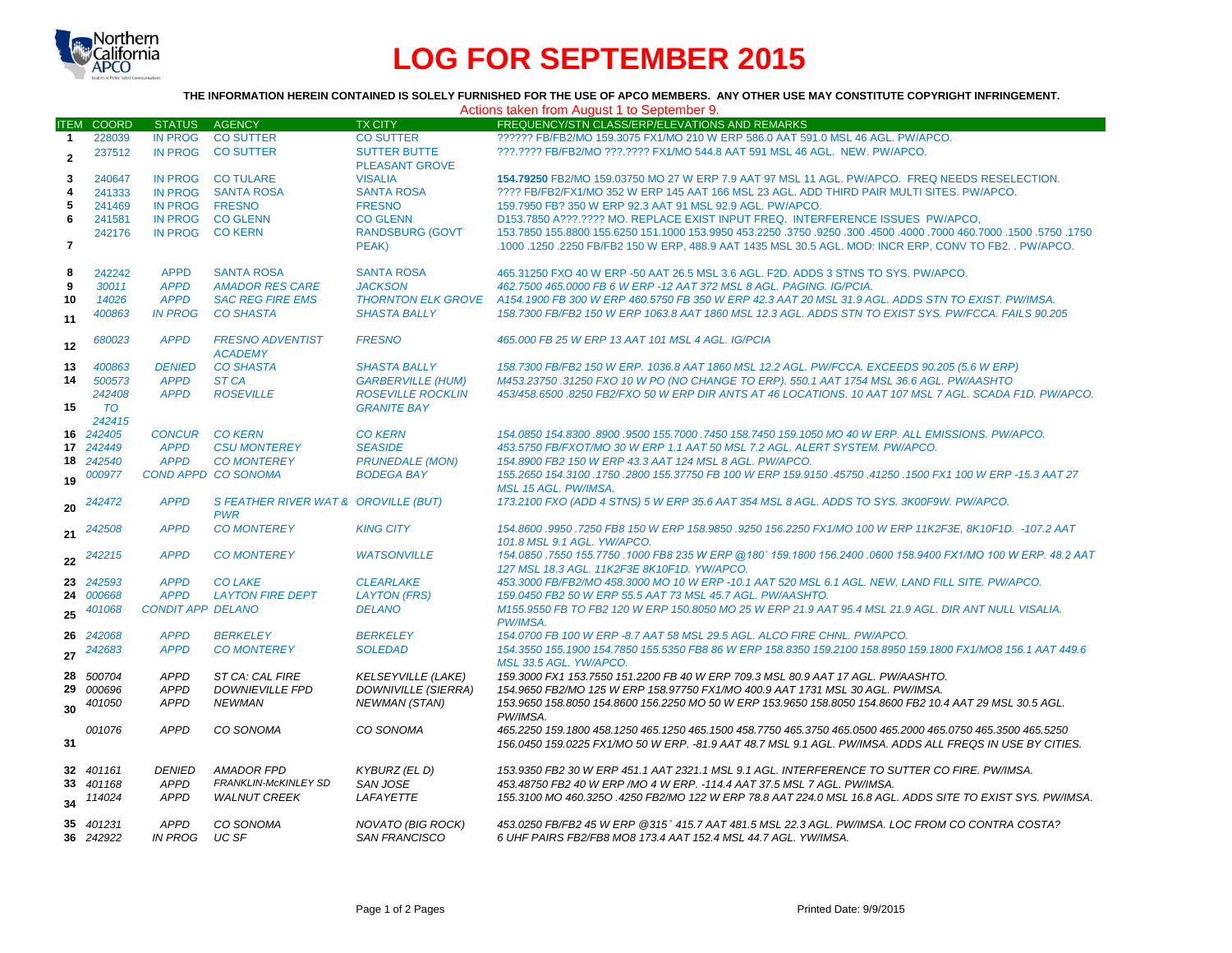

# **LOG FOR SEPTEMBER 2015**

## **THE INFORMATION HEREIN CONTAINED IS SOLELY FURNISHED FOR THE USE OF APCO MEMBERS. ANY OTHER USE MAY CONSTITUTE COPYRIGHT INFRINGEMENT.**

| Actions taken from August 1 to September 9. |                   |                          |                                           |                            |                                                                                                                       |  |  |  |  |
|---------------------------------------------|-------------------|--------------------------|-------------------------------------------|----------------------------|-----------------------------------------------------------------------------------------------------------------------|--|--|--|--|
|                                             | <b>ITEM COORD</b> | <b>STATUS</b>            | AGENCY                                    | <b>TX CITY</b>             | FREQUENCY/STN CLASS/ERP/ELEVATIONS AND REMARKS                                                                        |  |  |  |  |
| $\mathbf{1}$                                | 228039            | IN PROG                  | <b>CO SUTTER</b>                          | <b>CO SUTTER</b>           | ?????? FB/FB2/MO 159.3075 FX1/MO 210 W ERP 586.0 AAT 591.0 MSL 46 AGL, PW/APCO.                                       |  |  |  |  |
| $\overline{2}$                              | 237512            | <b>IN PROG</b>           | <b>CO SUTTER</b>                          | <b>SUTTER BUTTE</b>        | ???.???? FB/FB2/MO ???.???? FX1/MO 544.8 AAT 591 MSL 46 AGL. NEW. PW/APCO.                                            |  |  |  |  |
|                                             |                   |                          |                                           | <b>PLEASANT GROVE</b>      |                                                                                                                       |  |  |  |  |
| 3                                           | 240647            | <b>IN PROG</b>           | <b>CO TULARE</b>                          | <b>VISALIA</b>             | 154.79250 FB2/MO 159.03750 MO 27 W ERP 7.9 AAT 97 MSL 11 AGL, PW/APCO. FREQ NEEDS RESELECTION.                        |  |  |  |  |
| 4                                           | 241333            | <b>IN PROG</b>           | <b>SANTA ROSA</b>                         | <b>SANTA ROSA</b>          | ???? FB/FB2/FX1/MO 352 W ERP 145 AAT 166 MSL 23 AGL. ADD THIRD PAIR MULTI SITES. PW/APCO.                             |  |  |  |  |
| 5                                           | 241469            | <b>IN PROG</b>           | <b>FRESNO</b>                             | <b>FRESNO</b>              | 159.7950 FB? 350 W ERP 92.3 AAT 91 MSL 92.9 AGL. PW/APCO.                                                             |  |  |  |  |
| 6                                           | 241581            | <b>IN PROG</b>           | <b>CO GLENN</b>                           | <b>CO GLENN</b>            | D153.7850 A???.???? MO. REPLACE EXIST INPUT FREQ. INTERFERENCE ISSUES PW/APCO,                                        |  |  |  |  |
|                                             | 242176            | <b>IN PROG</b>           | <b>CO KERN</b>                            | <b>RANDSBURG (GOVT</b>     | 1750. 1750. 1500. 1600. 1000 460.7000 400. 1600. 1500. 1600. 1750. 152250 153.9950 163.9950 153.2250 15500 155        |  |  |  |  |
| 7                                           |                   |                          |                                           | PEAK)                      | .1000 .1250 .2250 FB/FB2 150 W ERP, 488.9 AAT 1435 MSL 30.5 AGL. MOD: INCR ERP, CONV TO FB2. . PW/APCO.               |  |  |  |  |
| 8                                           | 242242            | <b>APPD</b>              | <b>SANTA ROSA</b>                         | <b>SANTA ROSA</b>          | 465,31250 FXO 40 W ERP -50 AAT 26.5 MSL 3.6 AGL, F2D, ADDS 3 STNS TO SYS, PW/APCO.                                    |  |  |  |  |
| 9                                           | 30011             | <b>APPD</b>              | <b>AMADOR RES CARE</b>                    | <b>JACKSON</b>             | 462.7500 465.0000 FB 6 W ERP -12 AAT 372 MSL 8 AGL, PAGING, IG/PCIA.                                                  |  |  |  |  |
| 10                                          | 14026             | <b>APPD</b>              | <b>SAC REG FIRE EMS</b>                   |                            | THORNTON ELK GROVE A154.1900 FB 300 W ERP 460.5750 FB 350 W ERP 42.3 AAT 20 MSL 31.9 AGL. ADDS STN TO EXIST. PW/IMSA. |  |  |  |  |
| 11                                          | 400863            | <b>IN PROG</b>           | <b>CO SHASTA</b>                          | <b>SHASTA BALLY</b>        | 158.7300 FB/FB2 150 W ERP 1063.8 AAT 1860 MSL 12.3 AGL. ADDS STN TO EXIST SYS. PW/FCCA. FAILS 90.205                  |  |  |  |  |
|                                             |                   |                          |                                           |                            |                                                                                                                       |  |  |  |  |
| 12                                          | 680023            | <b>APPD</b>              | <b>FRESNO ADVENTIST</b><br><b>ACADEMY</b> | <b>FRESNO</b>              | 465,000 FB 25 W ERP 13 AAT 101 MSL 4 AGL. IG/PCIA                                                                     |  |  |  |  |
| 13                                          | 400863            | <b>DENIED</b>            | <b>CO SHASTA</b>                          | <b>SHASTA BALLY</b>        | 158.7300 FB/FB2 150 W ERP. 1036.8 AAT 1860 MSL 12.2 AGL. PW/FCCA. EXCEEDS 90.205 (5.6 W ERP)                          |  |  |  |  |
| 14                                          | 500573            | <b>APPD</b>              | ST <sub>CA</sub>                          | <b>GARBERVILLE (HUM)</b>   | M453.23750 .31250 FXO 10 W PO (NO CHANGE TO ERP). 550.1 AAT 1754 MSL 36.6 AGL. PW/AASHTO                              |  |  |  |  |
|                                             | 242408            | <b>APPD</b>              | <b>ROSEVILLE</b>                          | <b>ROSEVILLE ROCKLIN</b>   | 453/458.6500.8250 FB2/FXO 50 W ERP DIR ANTS AT 46 LOCATIONS. 10 AAT 107 MSL 7 AGL. SCADA F1D. PW/APCO.                |  |  |  |  |
| 15                                          | <b>TO</b>         |                          |                                           | <b>GRANITE BAY</b>         |                                                                                                                       |  |  |  |  |
|                                             | 242415            |                          |                                           |                            |                                                                                                                       |  |  |  |  |
|                                             | 16 242405         | <b>CONCUR</b>            | <b>CO KERN</b>                            | <b>CO KERN</b>             | 154.0850 154.8300 .8900 .9500 155.7000 .7450 158.7450 159.1050 MO 40 W ERP. ALL EMISSIONS. PW/APCO.                   |  |  |  |  |
|                                             | 17 242449         | <b>APPD</b>              | <b>CSU MONTEREY</b>                       | <b>SEASIDE</b>             | 453.5750 FB/FXOT/MO 30 W ERP 1.1 AAT 50 MSL 7.2 AGL. ALERT SYSTEM. PW/APCO.                                           |  |  |  |  |
|                                             | 18 242540         | <b>APPD</b>              | <b>CO MONTEREY</b>                        | <b>PRUNEDALE (MON)</b>     | 154.8900 FB2 150 W ERP 43.3 AAT 124 MSL 8 AGL. PW/APCO.                                                               |  |  |  |  |
|                                             | 000977            |                          | COND APPD CO SONOMA                       | <b>BODEGA BAY</b>          | 155,2650 154,3100 ,1750 ,2800 155,37750 FB 100 W ERP 159,9150 ,45750 ,41250 ,1500 FX1 100 W ERP -15.3 AAT 27          |  |  |  |  |
| 19                                          |                   |                          |                                           |                            | MSL 15 AGL. PW/IMSA.                                                                                                  |  |  |  |  |
| 20                                          | 242472            | <b>APPD</b>              | S FEATHER RIVER WAT & OROVILLE (BUT)      |                            | 173.2100 FXO (ADD 4 STNS) 5 W ERP 35.6 AAT 354 MSL 8 AGL. ADDS TO SYS. 3K00F9W. PW/APCO.                              |  |  |  |  |
|                                             |                   |                          | <b>PWR</b>                                |                            |                                                                                                                       |  |  |  |  |
| 21                                          | 242508            | <b>APPD</b>              | <b>CO MONTEREY</b>                        | <b>KING CITY</b>           | 154.8600 .9950 .7250 FB8 150 W ERP 158.9850 .9250 156.2250 FX1/MO 100 W ERP 11K2F3E. 8K10F1D. -107.2 AAT              |  |  |  |  |
|                                             |                   |                          |                                           |                            | 101.8 MSL 9.1 AGL, YW/APCO.                                                                                           |  |  |  |  |
| 22                                          | 242215            | <b>APPD</b>              | <b>CO MONTEREY</b>                        | <b>WATSONVILLE</b>         | 154.0850 .7550 155.7750 .1000 FB8 235 W ERP @180° 159.1800 156.2400 .0600 158.9400 FX1/MO 100 W ERP. 48.2 AAT         |  |  |  |  |
|                                             |                   |                          |                                           |                            | 127 MSL 18.3 AGL, 11K2F3E 8K10F1D, YW/APCO,                                                                           |  |  |  |  |
|                                             | 23 242593         | <b>APPD</b>              | <b>CO LAKE</b>                            | <b>CLEARLAKE</b>           | 453.3000 FB/FB2/MO 458.3000 MO 10 W ERP -10.1 AAT 520 MSL 6.1 AGL. NEW. LAND FILL SITE, PW/APCO,                      |  |  |  |  |
| 24                                          | 000668            | <b>APPD</b>              | <b>LAYTON FIRE DEPT</b>                   | <b>LAYTON (FRS)</b>        | 159.0450 FB2 50 W ERP 55.5 AAT 73 MSL 45.7 AGL, PW/AASHTO.                                                            |  |  |  |  |
| 25                                          | 401068            | <b>CONDIT APP DELANO</b> |                                           | <b>DELANO</b>              | M155.9550 FB TO FB2 120 W ERP 150.8050 MO 25 W ERP 21.9 AAT 95.4 MSL 21.9 AGL. DIR ANT NULL VISALIA.<br>PW/IMSA.      |  |  |  |  |
| 26                                          | 242068            | <b>APPD</b>              | <b>BERKELEY</b>                           | <b>BERKELEY</b>            | 154.0700 FB 100 W ERP -8.7 AAT 58 MSL 29.5 AGL. ALCO FIRE CHNL. PW/APCO.                                              |  |  |  |  |
|                                             | 242683            | <b>APPD</b>              | <b>CO MONTEREY</b>                        | <b>SOLEDAD</b>             | 154.3550 155.1900 154.7850 155.5350 FB8 86 W ERP 158.8350 159.2100 158.8950 159.1800 FX1/MO8 156.1 AAT 449.6          |  |  |  |  |
| 27                                          |                   |                          |                                           |                            | MSL 33.5 AGL. YW/APCO.                                                                                                |  |  |  |  |
| 28                                          | 500704            | APPD                     | ST CA: CAL FIRE                           | <b>KELSEYVILLE (LAKE)</b>  | 159.3000 FX1 153.7550 151.2200 FB 40 W ERP 709.3 MSL 80.9 AAT 17 AGL. PW/AASHTO.                                      |  |  |  |  |
| 29                                          | 000696            | <b>APPD</b>              | <b>DOWNIEVILLE FPD</b>                    | <b>DOWNIVILLE (SIERRA)</b> | 154.9650 FB2/MO 125 W ERP 158.97750 FX1/MO 400.9 AAT 1731 MSL 30 AGL, PW/IMSA.                                        |  |  |  |  |
| 30                                          | 401050            | <b>APPD</b>              | <b>NEWMAN</b>                             | <b>NEWMAN (STAN)</b>       | 153.9650 158.8050 154.8600 156.2250 MO 50 W ERP 153.9650 158.8050 154.8600 FB2 10.4 AAT 29 MSL 30.5 AGL.              |  |  |  |  |
|                                             |                   |                          |                                           |                            | PW/IMSA.                                                                                                              |  |  |  |  |
|                                             | 001076            | <b>APPD</b>              | CO SONOMA                                 | CO SONOMA                  | 465.2250 159.1800 458.1250 465.1250 465.1500 458.7750 465.3750 465.0500 465.2000 465.0750 465.3500 465.5250           |  |  |  |  |
| 31                                          |                   |                          |                                           |                            | 156.0450 159.0225 FX1/MO 50 W ERP. -81.9 AAT 48.7 MSL 9.1 AGL. PW/IMSA, ADDS ALL FREQS IN USE BY CITIES.              |  |  |  |  |
|                                             | 32 401161         | <b>DENIED</b>            | <b>AMADOR FPD</b>                         | KYBURZ (EL D)              | 153.9350 FB2 30 W ERP 451.1 AAT 2321.1 MSL 9.1 AGL. INTERFERENCE TO SUTTER CO FIRE. PW/IMSA.                          |  |  |  |  |
| 33                                          | 401168            | <b>APPD</b>              | FRANKLIN-McKINLEY SD                      | <b>SAN JOSE</b>            | 453.48750 FB2 40 W ERP /MO 4 W ERP. -114.4 AAT 37.5 MSL 7 AGL. PW/IMSA.                                               |  |  |  |  |
|                                             | 114024            | APPD                     | <b>WALNUT CREEK</b>                       | <b>LAFAYETTE</b>           | 155.3100 MO 460.3250 .4250 FB2/MO 122 W ERP 78.8 AAT 224.0 MSL 16.8 AGL. ADDS SITE TO EXIST SYS. PW/IMSA.             |  |  |  |  |
| 34                                          |                   |                          |                                           |                            |                                                                                                                       |  |  |  |  |
|                                             | 35 401231         | APPD                     | CO SONOMA                                 | NOVATO (BIG ROCK)          | 453.0250 FB/FB2 45 W ERP @315° 415.7 AAT 481.5 MSL 22.3 AGL. PW/IMSA. LOC FROM CO CONTRA COSTA?                       |  |  |  |  |
|                                             | 36 242922         | IN PROG                  | UC SF                                     | <b>SAN FRANCISCO</b>       | 6 UHF PAIRS FB2/FB8 MO8 173.4 AAT 152.4 MSL 44.7 AGL. YW/IMSA.                                                        |  |  |  |  |